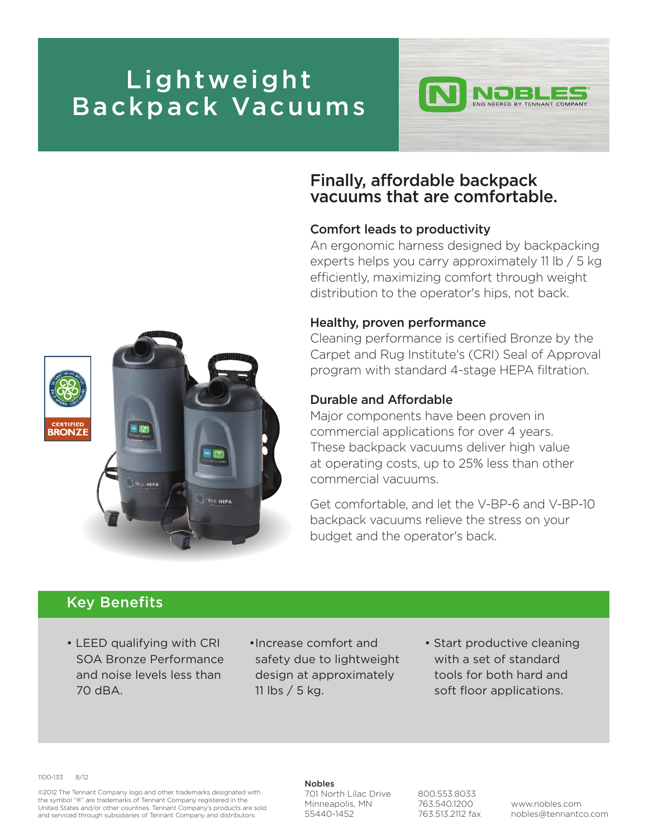## **Lightweight Backpack Vacuums**



## **Finally, affordable backpack vacuums that are comfortable.**

### **Comfort leads to productivity**

An ergonomic harness designed by backpacking experts helps you carry approximately 11 lb / 5 kg efficiently, maximizing comfort through weight distribution to the operator's hips, not back.

#### **Healthy, proven performance**

Cleaning performance is certified Bronze by the Carpet and Rug Institute's (CRI) Seal of Approval program with standard 4-stage HEPA filtration.

### **Durable and Affordable**

Major components have been proven in commercial applications for over 4 years. These backpack vacuums deliver high value at operating costs, up to 25% less than other commercial vacuums.

Get comfortable, and let the V-BP-6 and V-BP-10 backpack vacuums relieve the stress on your budget and the operator's back.

### **Key Benefits**

- LEED qualifying with CRI SOA Bronze Performance and noise levels less than 70 dBA.
- •Increase comfort and safety due to lightweight design at approximately 11 lbs / 5 kg.
- Start productive cleaning with a set of standard tools for both hard and soft floor applications.

1100-133 8/12

©2012 The Tennant Company logo and other trademarks designated with the symbol "®" are trademarks of Tennant Company registered in the United States and/or other countries. Tennant Company's products are sold and serviced through subsidiaries of Tennant Company and distributors.

#### **Nobles**

701 North Lilac Drive Minneapolis, MN 55440-1452

800.553.8033 763.540.1200 763.513.2112 fax

www.nobles.com nobles@tennantco.com